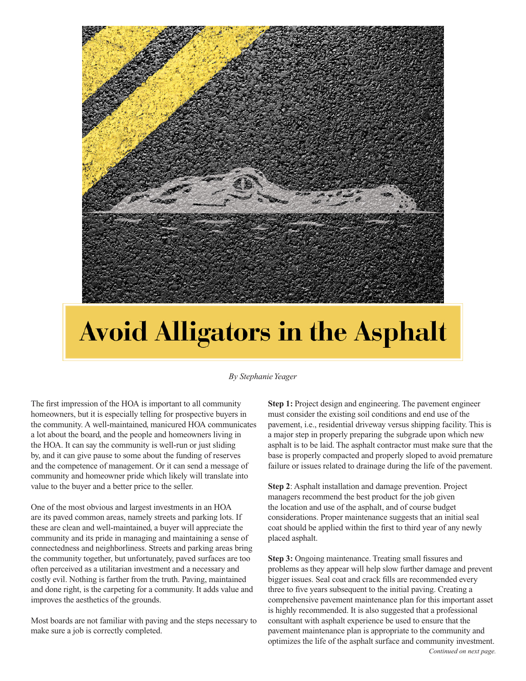

## **Avoid Alligators in the Asphalt**

## *By Stephanie Yeager*

The first impression of the HOA is important to all community homeowners, but it is especially telling for prospective buyers in the community. A well-maintained, manicured HOA communicates a lot about the board, and the people and homeowners living in the HOA. It can say the community is well-run or just sliding by, and it can give pause to some about the funding of reserves and the competence of management. Or it can send a message of community and homeowner pride which likely will translate into value to the buyer and a better price to the seller.

One of the most obvious and largest investments in an HOA are its paved common areas, namely streets and parking lots. If these are clean and well-maintained, a buyer will appreciate the community and its pride in managing and maintaining a sense of connectedness and neighborliness. Streets and parking areas bring the community together, but unfortunately, paved surfaces are too often perceived as a utilitarian investment and a necessary and costly evil. Nothing is farther from the truth. Paving, maintained and done right, is the carpeting for a community. It adds value and improves the aesthetics of the grounds.

Most boards are not familiar with paving and the steps necessary to make sure a job is correctly completed.

**Step 1:** Project design and engineering. The pavement engineer must consider the existing soil conditions and end use of the pavement, i.e., residential driveway versus shipping facility. This is a major step in properly preparing the subgrade upon which new asphalt is to be laid. The asphalt contractor must make sure that the base is properly compacted and properly sloped to avoid premature failure or issues related to drainage during the life of the pavement.

**Step 2**: Asphalt installation and damage prevention. Project managers recommend the best product for the job given the location and use of the asphalt, and of course budget considerations. Proper maintenance suggests that an initial seal coat should be applied within the first to third year of any newly placed asphalt.

**Step 3:** Ongoing maintenance. Treating small fissures and problems as they appear will help slow further damage and prevent bigger issues. Seal coat and crack fills are recommended every three to five years subsequent to the initial paving. Creating a comprehensive pavement maintenance plan for this important asset is highly recommended. It is also suggested that a professional consultant with asphalt experience be used to ensure that the pavement maintenance plan is appropriate to the community and optimizes the life of the asphalt surface and community investment. *Continued on next page.*